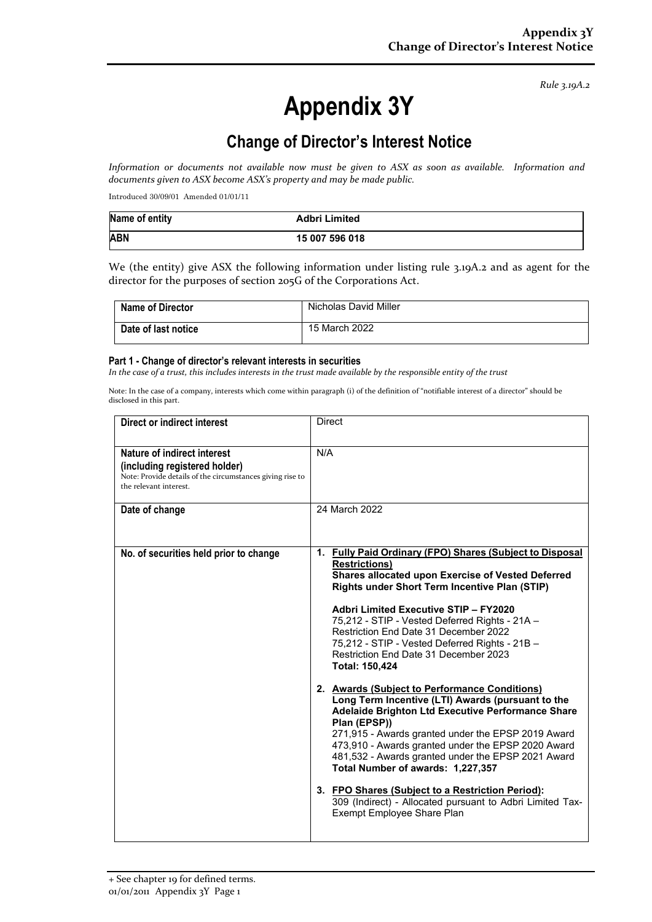*Rule 3.19A.2*

# **Appendix 3Y**

# **Change of Director's Interest Notice**

*Information or documents not available now must be given to ASX as soon as available. Information and documents given to ASX become ASX's property and may be made public.*

Introduced 30/09/01 Amended 01/01/11

| Name of entity | <b>Adbri Limited</b> |
|----------------|----------------------|
| <b>ABN</b>     | 15 007 596 018       |

We (the entity) give ASX the following information under listing rule 3.19A.2 and as agent for the director for the purposes of section 205G of the Corporations Act.

| <b>Name of Director</b> | Nicholas David Miller |
|-------------------------|-----------------------|
| Date of last notice     | 15 March 2022         |

#### **Part 1 - Change of director's relevant interests in securities**

*In the case of a trust, this includes interests in the trust made available by the responsible entity of the trust*

Note: In the case of a company, interests which come within paragraph (i) of the definition of "notifiable interest of a director" should be disclosed in this part.

| <b>Direct or indirect interest</b>                                                                                                                  | <b>Direct</b>                                                                                                                                                                                                                                                                                                                                                                                                                                   |  |
|-----------------------------------------------------------------------------------------------------------------------------------------------------|-------------------------------------------------------------------------------------------------------------------------------------------------------------------------------------------------------------------------------------------------------------------------------------------------------------------------------------------------------------------------------------------------------------------------------------------------|--|
| Nature of indirect interest<br>(including registered holder)<br>Note: Provide details of the circumstances giving rise to<br>the relevant interest. | N/A                                                                                                                                                                                                                                                                                                                                                                                                                                             |  |
| Date of change                                                                                                                                      | 24 March 2022                                                                                                                                                                                                                                                                                                                                                                                                                                   |  |
| No. of securities held prior to change                                                                                                              | 1. Fully Paid Ordinary (FPO) Shares (Subject to Disposal<br><b>Restrictions</b> )<br>Shares allocated upon Exercise of Vested Deferred<br>Rights under Short Term Incentive Plan (STIP)<br>Adbri Limited Executive STIP - FY2020<br>75,212 - STIP - Vested Deferred Rights - 21A -<br>Restriction End Date 31 December 2022<br>75,212 - STIP - Vested Deferred Rights - 21B -<br>Restriction End Date 31 December 2023<br><b>Total: 150,424</b> |  |
|                                                                                                                                                     | 2. Awards (Subject to Performance Conditions)<br>Long Term Incentive (LTI) Awards (pursuant to the<br>Adelaide Brighton Ltd Executive Performance Share<br>Plan (EPSP))<br>271,915 - Awards granted under the EPSP 2019 Award<br>473,910 - Awards granted under the EPSP 2020 Award<br>481,532 - Awards granted under the EPSP 2021 Award<br>Total Number of awards: 1,227,357                                                                  |  |
|                                                                                                                                                     | 3. FPO Shares (Subject to a Restriction Period):<br>309 (Indirect) - Allocated pursuant to Adbri Limited Tax-<br><b>Exempt Employee Share Plan</b>                                                                                                                                                                                                                                                                                              |  |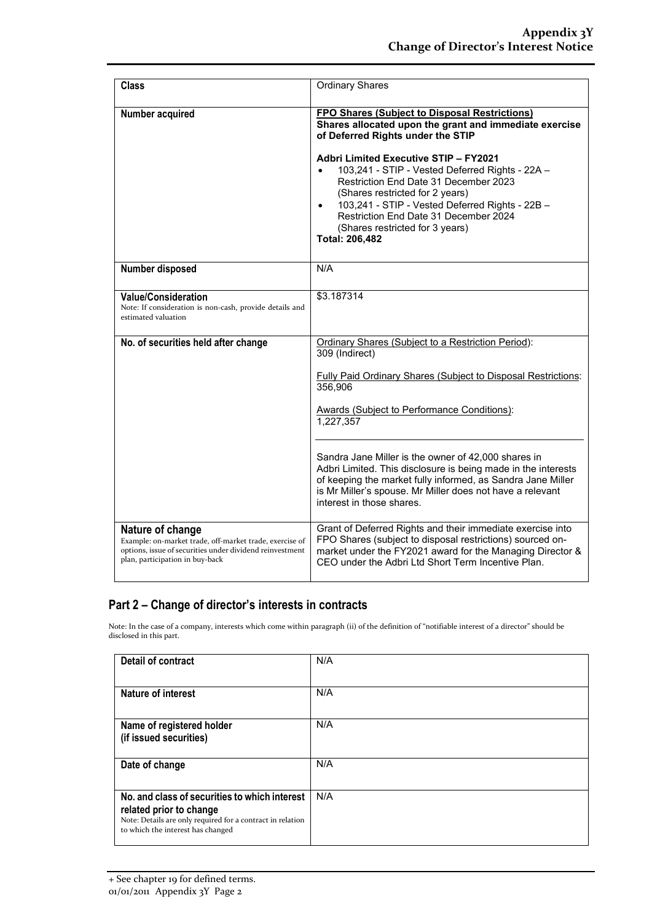| <b>Class</b>                                                                                                                                                               | <b>Ordinary Shares</b>                                                                                                                                                                                                                                                                                                                                                                                                                                                                                        |
|----------------------------------------------------------------------------------------------------------------------------------------------------------------------------|---------------------------------------------------------------------------------------------------------------------------------------------------------------------------------------------------------------------------------------------------------------------------------------------------------------------------------------------------------------------------------------------------------------------------------------------------------------------------------------------------------------|
| Number acquired                                                                                                                                                            | FPO Shares (Subject to Disposal Restrictions)<br>Shares allocated upon the grant and immediate exercise<br>of Deferred Rights under the STIP<br><b>Adbri Limited Executive STIP - FY2021</b><br>103,241 - STIP - Vested Deferred Rights - 22A -<br>$\bullet$<br>Restriction End Date 31 December 2023<br>(Shares restricted for 2 years)<br>103,241 - STIP - Vested Deferred Rights - 22B -<br>$\bullet$<br>Restriction End Date 31 December 2024<br>(Shares restricted for 3 years)<br><b>Total: 206,482</b> |
| Number disposed                                                                                                                                                            | N/A                                                                                                                                                                                                                                                                                                                                                                                                                                                                                                           |
| <b>Value/Consideration</b><br>Note: If consideration is non-cash, provide details and<br>estimated valuation                                                               | \$3.187314                                                                                                                                                                                                                                                                                                                                                                                                                                                                                                    |
| No. of securities held after change                                                                                                                                        | Ordinary Shares (Subject to a Restriction Period):<br>309 (Indirect)                                                                                                                                                                                                                                                                                                                                                                                                                                          |
|                                                                                                                                                                            | <b>Fully Paid Ordinary Shares (Subject to Disposal Restrictions:</b><br>356,906                                                                                                                                                                                                                                                                                                                                                                                                                               |
|                                                                                                                                                                            | <b>Awards (Subject to Performance Conditions):</b><br>1,227,357                                                                                                                                                                                                                                                                                                                                                                                                                                               |
|                                                                                                                                                                            | Sandra Jane Miller is the owner of 42,000 shares in<br>Adbri Limited. This disclosure is being made in the interests<br>of keeping the market fully informed, as Sandra Jane Miller<br>is Mr Miller's spouse. Mr Miller does not have a relevant<br>interest in those shares.                                                                                                                                                                                                                                 |
| Nature of change<br>Example: on-market trade, off-market trade, exercise of<br>options, issue of securities under dividend reinvestment<br>plan, participation in buy-back | Grant of Deferred Rights and their immediate exercise into<br>FPO Shares (subject to disposal restrictions) sourced on-<br>market under the FY2021 award for the Managing Director &<br>CEO under the Adbri Ltd Short Term Incentive Plan.                                                                                                                                                                                                                                                                    |

### **Part 2 – Change of director's interests in contracts**

Note: In the case of a company, interests which come within paragraph (ii) of the definition of "notifiable interest of a director" should be disclosed in this part.

| Detail of contract                                                                                                                                                          | N/A |
|-----------------------------------------------------------------------------------------------------------------------------------------------------------------------------|-----|
| Nature of interest                                                                                                                                                          | N/A |
| Name of registered holder<br>(if issued securities)                                                                                                                         | N/A |
| Date of change                                                                                                                                                              | N/A |
| No. and class of securities to which interest<br>related prior to change<br>Note: Details are only required for a contract in relation<br>to which the interest has changed | N/A |